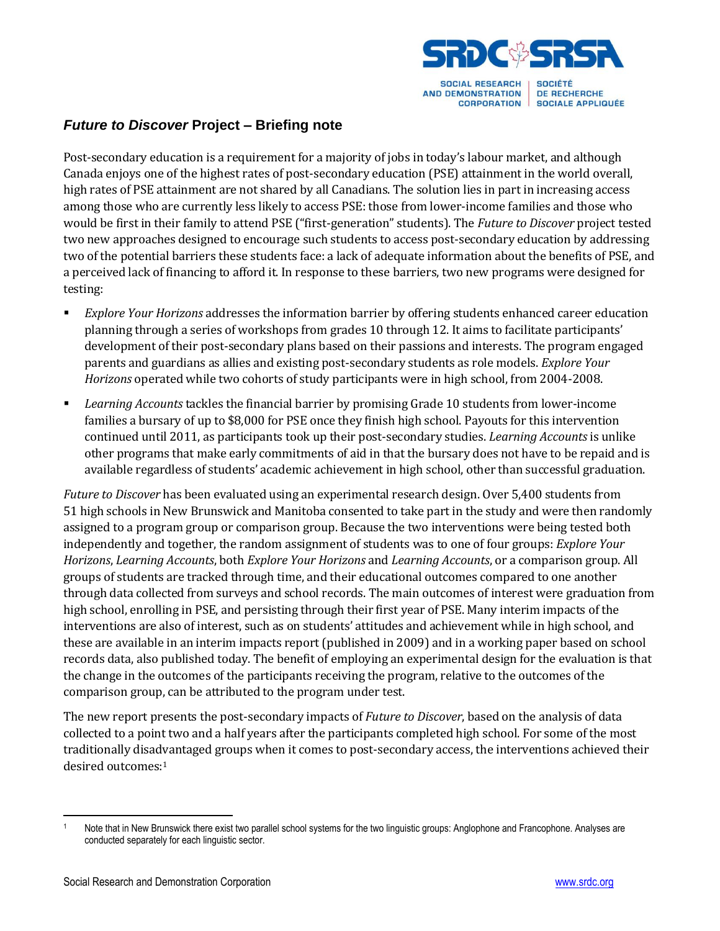

## *Future to Discover* **Project – Briefing note**

Post-secondary education is a requirement for a majority of jobs in today's labour market, and although Canada enjoys one of the highest rates of post-secondary education (PSE) attainment in the world overall, high rates of PSE attainment are not shared by all Canadians. The solution lies in part in increasing access among those who are currently less likely to access PSE: those from lower-income families and those who would be first in their family to attend PSE ("first-generation" students). The *Future to Discover* project tested two new approaches designed to encourage such students to access post-secondary education by addressing two of the potential barriers these students face: a lack of adequate information about the benefits of PSE, and a perceived lack of financing to afford it. In response to these barriers, two new programs were designed for testing:

- *Explore Your Horizons* addresses the information barrier by offering students enhanced career education planning through a series of workshops from grades 10 through 12. It aims to facilitate participants' development of their post-secondary plans based on their passions and interests. The program engaged parents and guardians as allies and existing post-secondary students as role models. *Explore Your Horizons* operated while two cohorts of study participants were in high school, from 2004-2008.
- *Learning Accounts* tackles the financial barrier by promising Grade 10 students from lower-income families a bursary of up to \$8,000 for PSE once they finish high school. Payouts for this intervention continued until 2011, as participants took up their post-secondary studies. *Learning Accounts* is unlike other programs that make early commitments of aid in that the bursary does not have to be repaid and is available regardless of students' academic achievement in high school, other than successful graduation.

*Future to Discover* has been evaluated using an experimental research design. Over 5,400 students from 51 high schools in New Brunswick and Manitoba consented to take part in the study and were then randomly assigned to a program group or comparison group. Because the two interventions were being tested both independently and together, the random assignment of students was to one of four groups: *Explore Your Horizons*, *Learning Accounts*, both *Explore Your Horizons* and *Learning Accounts*, or a comparison group. All groups of students are tracked through time, and their educational outcomes compared to one another through data collected from surveys and school records. The main outcomes of interest were graduation from high school, enrolling in PSE, and persisting through their first year of PSE. Many interim impacts of the interventions are also of interest, such as on students' attitudes and achievement while in high school, and these are available in an interim impacts report (published in 2009) and in a working paper based on school records data, also published today. The benefit of employing an experimental design for the evaluation is that the change in the outcomes of the participants receiving the program, relative to the outcomes of the comparison group, can be attributed to the program under test.

The new report presents the post-secondary impacts of *Future to Discover*, based on the analysis of data collected to a point two and a half years after the participants completed high school. For some of the most traditionally disadvantaged groups when it comes to post-secondary access, the interventions achieved their desired outcomes: 1

 $\overline{a}$ <sup>1</sup> Note that in New Brunswick there exist two parallel school systems for the two linguistic groups: Anglophone and Francophone. Analyses are conducted separately for each linguistic sector.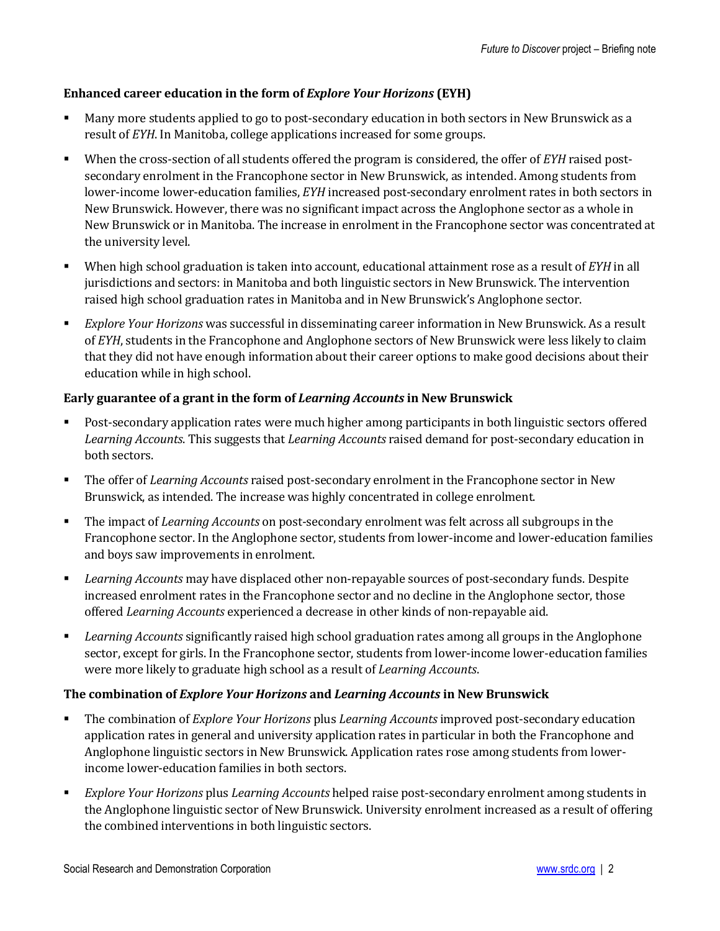## **Enhanced career education in the form of** *Explore Your Horizons* **(EYH)**

- Many more students applied to go to post-secondary education in both sectors in New Brunswick as a result of *EYH*. In Manitoba, college applications increased for some groups.
- When the cross-section of all students offered the program is considered, the offer of *EYH* raised postsecondary enrolment in the Francophone sector in New Brunswick, as intended. Among students from lower-income lower-education families, *EYH* increased post-secondary enrolment rates in both sectors in New Brunswick. However, there was no significant impact across the Anglophone sector as a whole in New Brunswick or in Manitoba. The increase in enrolment in the Francophone sector was concentrated at the university level.
- When high school graduation is taken into account, educational attainment rose as a result of *EYH* in all jurisdictions and sectors: in Manitoba and both linguistic sectors in New Brunswick. The intervention raised high school graduation rates in Manitoba and in New Brunswick's Anglophone sector.
- *Explore Your Horizons* was successful in disseminating career information in New Brunswick. As a result of *EYH*, students in the Francophone and Anglophone sectors of New Brunswick were less likely to claim that they did not have enough information about their career options to make good decisions about their education while in high school.

## **Early guarantee of a grant in the form of** *Learning Accounts* **in New Brunswick**

- Post-secondary application rates were much higher among participants in both linguistic sectors offered *Learning Accounts*. This suggests that *Learning Accounts* raised demand for post-secondary education in both sectors.
- The offer of *Learning Accounts* raised post-secondary enrolment in the Francophone sector in New Brunswick, as intended. The increase was highly concentrated in college enrolment.
- The impact of *Learning Accounts* on post-secondary enrolment was felt across all subgroups in the Francophone sector. In the Anglophone sector, students from lower-income and lower-education families and boys saw improvements in enrolment.
- *Learning Accounts* may have displaced other non-repayable sources of post-secondary funds. Despite increased enrolment rates in the Francophone sector and no decline in the Anglophone sector, those offered *Learning Accounts* experienced a decrease in other kinds of non-repayable aid.
- *Learning Accounts* significantly raised high school graduation rates among all groups in the Anglophone sector, except for girls. In the Francophone sector, students from lower-income lower-education families were more likely to graduate high school as a result of *Learning Accounts*.

## **The combination of** *Explore Your Horizons* **and** *Learning Accounts* **in New Brunswick**

- The combination of *Explore Your Horizons* plus *Learning Accounts* improved post-secondary education application rates in general and university application rates in particular in both the Francophone and Anglophone linguistic sectors in New Brunswick. Application rates rose among students from lowerincome lower-education families in both sectors.
- *Explore Your Horizons* plus *Learning Accounts* helped raise post-secondary enrolment among students in the Anglophone linguistic sector of New Brunswick. University enrolment increased as a result of offering the combined interventions in both linguistic sectors.